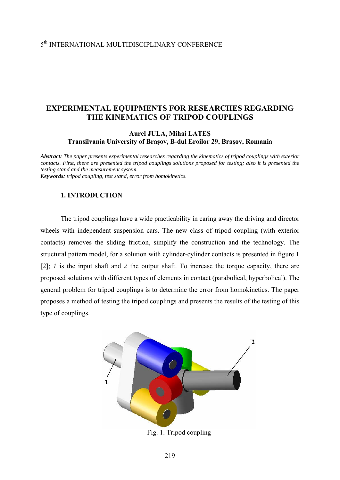# **EXPERIMENTAL EQUIPMENTS FOR RESEARCHES REGARDING THE KINEMATICS OF TRIPOD COUPLINGS**

# **Aurel JULA, Mihai LATEŞ Transilvania University of Braşov, B-dul Eroilor 29, Braşov, Romania**

*Abstract: The paper presents experimental researches regarding the kinematics of tripod couplings with exterior contacts. First, there are presented the tripod couplings solutions proposed for testing; also it is presented the testing stand and the measurement system. Keywords: tripod coupling, test stand, error from homokinetics.* 

# **1. INTRODUCTION**

 The tripod couplings have a wide practicability in caring away the driving and director wheels with independent suspension cars. The new class of tripod coupling (with exterior contacts) removes the sliding friction, simplify the construction and the technology. The structural pattern model, for a solution with cylinder-cylinder contacts is presented in figure 1 [2]; *1* is the input shaft and *2* the output shaft. To increase the torque capacity, there are proposed solutions with different types of elements in contact (parabolical, hyperbolical). The general problem for tripod couplings is to determine the error from homokinetics. The paper proposes a method of testing the tripod couplings and presents the results of the testing of this type of couplings.



Fig. 1. Tripod coupling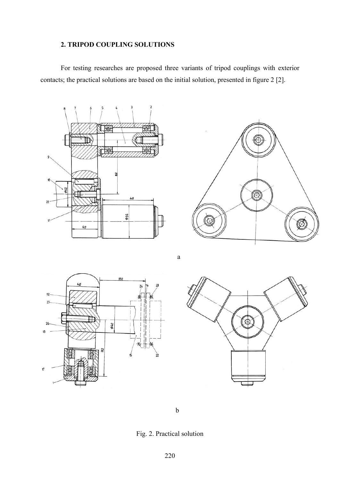# **2. TRIPOD COUPLING SOLUTIONS**

 For testing researches are proposed three variants of tripod couplings with exterior contacts; the practical solutions are based on the initial solution, presented in figure 2 [2].





a





b

Fig. 2. Practical solution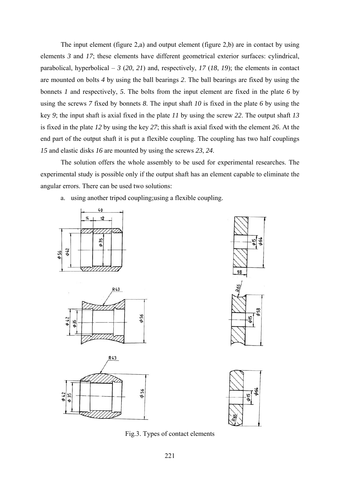The input element (figure 2,a) and output element (figure 2,b) are in contact by using elements *3* and *17*; these elements have different geometrical exterior surfaces: cylindrical, parabolical, hyperbolical –  $3(20, 21)$  and, respectively,  $17(18, 19)$ ; the elements in contact are mounted on bolts *4* by using the ball bearings *2*. The ball bearings are fixed by using the bonnets *1* and respectively, *5*. The bolts from the input element are fixed in the plate *6* by using the screws *7* fixed by bonnets *8*. The input shaft *10* is fixed in the plate *6* by using the key *9*; the input shaft is axial fixed in the plate *11* by using the screw *22*. The output shaft *13* is fixed in the plate *12* by using the key *27*; this shaft is axial fixed with the element *26*. At the end part of the output shaft it is put a flexible coupling. The coupling has two half couplings *15* and elastic disks *16* are mounted by using the screws *23*, *24*.

 The solution offers the whole assembly to be used for experimental researches. The experimental study is possible only if the output shaft has an element capable to eliminate the angular errors. There can be used two solutions:

a. using another tripod coupling;using a flexible coupling.











Fig.3. Types of contact elements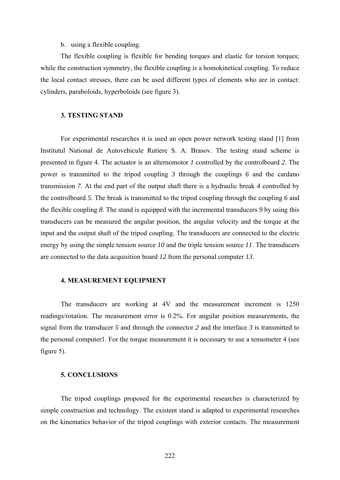#### b. using a flexible coupling.

The flexible coupling is flexible for bending torques and elastic for torsion torques; while the construction symmetry, the flexible coupling is a homokinetical coupling. To reduce the local contact stresses, there can be used different types of elements who are in contact: cylinders, paraboloids, hyperboloids (see figure 3).

### **3. TESTING STAND**

 For experimental researches it is used an open power network testing stand [1] from Institutul National de Autovehicule Rutiere S. A. Brasov. The testing stand scheme is presented in figure 4. The actuator is an alternomotor *1* controlled by the controlboard *2*. The power is transmitted to the tripod coupling *3* through the couplings *6* and the cardano transmission *7*. At the end part of the output shaft there is a hydraulic break *4* controlled by the controlboard *5*. The break is transmitted to the tripod coupling through the coupling *6* and the flexible coupling *8*. The stand is equipped with the incremental transducers *9* by using this transducers can be measured the angular position, the angular velocity and the torque at the input and the output shaft of the tripod coupling. The transducers are connected to the electric energy by using the simple tension source *10* and the triple tension source *11*. The transducers are connected to the data acquisition board *12* from the personal computer *13*.

# **4. MEASUREMENT EQUIPMENT**

 The transducers are working at 4V and the measurement increment is 1250 readings/rotation. The measurement error is 0.2%. For angular position measurements, the signal from the transducer *5* and through the connector *2* and the interface *3* is transmitted to the personal computer1. For the torque measurement it is necessary to use a tensometer 4 (see figure 5).

#### **5. CONCLUSIONS**

 The tripod couplings proposed for the experimental researches is characterized by simple construction and technology. The existent stand is adapted to experimental researches on the kinematics behavior of the tripod couplings with exterior contacts. The measurement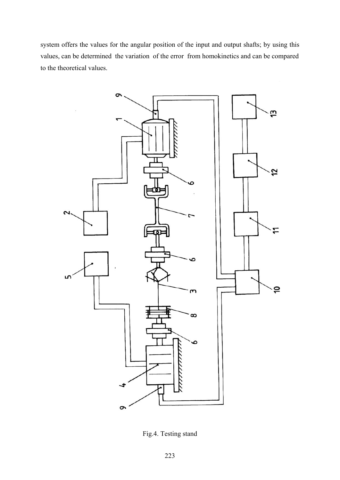system offers the values for the angular position of the input and output shafts; by using this values, can be determined the variation of the error from homokinetics and can be compared to the theoretical values.



Fig.4. Testing stand